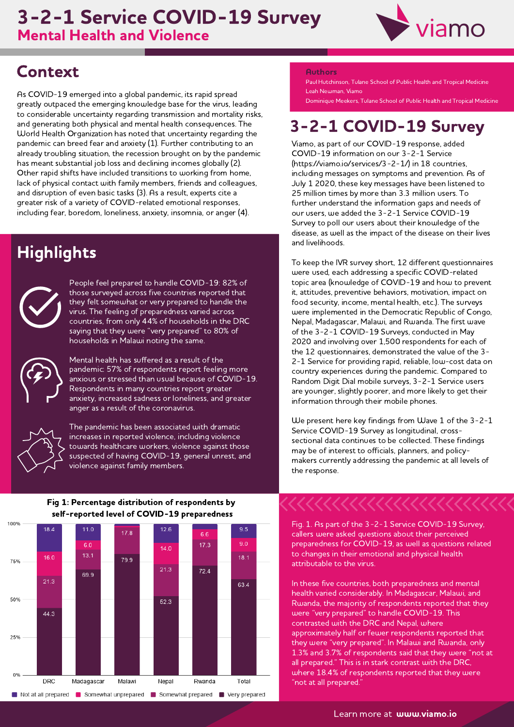## Mental Health and Violence 3-2-1 Service COVID-19 Survey



# **Context**

As COVID-19 emerged into <sup>a</sup> global pandemic, its rapid spread greatly outpaced the emerging knowledge base for the virus, leading to considerable uncertainty regarding transmission and mortality risks, and generating both physical and mental health consequences. The World Health Organization has noted that uncertainty regarding the pandemic can breed fear and anxiety (1). Further contributing to an already troubling situation, the recession brought on by the pandemic has meant substantial job loss and declining incomes globally (2). Other rapid shifts have included transitions to working from home, lack of physical contact with family members, friends and colleagues, and disruption of even basic tasks (3). As <sup>a</sup> result, experts cite <sup>a</sup> greater risk of <sup>a</sup> variety of COVID-related emotional responses, including fear, boredom, loneliness, anxiety, insomnia, or anger (4).

# **Highlights**



People feel prepared to handle COVID-19: 82% of those surveyed across five countries reported that they felt somewhat or very prepared to handle the virus. The feeling of preparedness varied across countries, from only 44% of households in the DRC saying that they were "very prepared" to 80% of households in Malawi noting the same.



Mental health has suffered as <sup>a</sup> result of the pandemic: 57% of respondents report feeling more anxious or stressed than usual because of COVID-19. Respondents in many countries report greater anxiety, increased sadness or loneliness, and greater anger as <sup>a</sup> result of the coronavirus.



The pandemic has been associated with dramatic increases in reported violence, including violence towards healthcare workers, violence against those suspected of having COVID-19, general unrest, and violence against family members.

### Fig 1: Percentage distribution of respondents by self-reported level of COVID-19 preparedness



#### Authors

Paul Hutchinson, Tulane School of Public Health and Tropical Medicine Leah Newman, Viamo

Dominique Meekers, Tulane School of Public Health and Tropical Medicine

# 3-2-1 COVID-19 Survey

Viamo, as part of our COVID-19 response, added COVID-19 information on our 3-2-1 Service (https://viamo.io/services/3-2-1/) in <sup>18</sup> countries, including messages on symptoms and prevention. As of July <sup>1</sup> 2020, these key messages have been listened to 25 million times by more than 3.3 million users. To further understand the information gaps and needs of our users, we added the 3-2-1 Service COVID-19 Survey to poll our users about their knowledge of the disease, as well as the impact of the disease on their lives and livelihoods.

To keep the IVR survey short, 12 different questionnaires were used, each addressing <sup>a</sup> specific COVID-related topic area (knowledge of COVID-19 and how to prevent it, attitudes, preventive behaviors, motivation, impact on food security, income, mental health, etc.). The surveys were implemented in the Democratic Republic of Congo, Nepal, Madagascar, Malawi, and Rwanda. The first wave of the 3-2-1 COVID-19 Surveys, conducted in May <sup>2020</sup> and involving over 1,500 respondents for each of the 12 questionnaires, demonstrated the value of the 3- 2-1 Service for providing rapid, reliable, low-cost data on country experiences during the pandemic. Compared to Random Digit Dial mobile surveys, 3-2-1 Service users are younger, slightly poorer, and more likely to get their information through their mobile phones.

We present here key findings from Wave <sup>1</sup> of the 3-2-1 Service COVID-19 Survey as longitudinal, crosssectional data continues to be collected. These findings may be of interest to officials, planners, and policymakers currently addressing the pandemic at all levels of the response.

Fig. 1. As part of the 3-2-1 Service COVID-19 Survey, callers were asked questions about their perceived preparedness for COVID-19, as well as questions related to changes in their emotional and physical health attributable to the virus.

In these five countries, both preparedness and mental health varied considerably. In Madagascar, Malawi, and Rwanda, the majority of respondents reported that they were "very prepared" to handle COVID-19. This contrasted with the DRC and Nepal, where approximately half or fewer respondents reported that they were "very prepared". In Malawi and Rwanda, only 1.3% and 3.7% of respondents said that they were "not at where 18.4% of respondents reported that they were "not at all prepared."

Learn more at **www.viamo.io**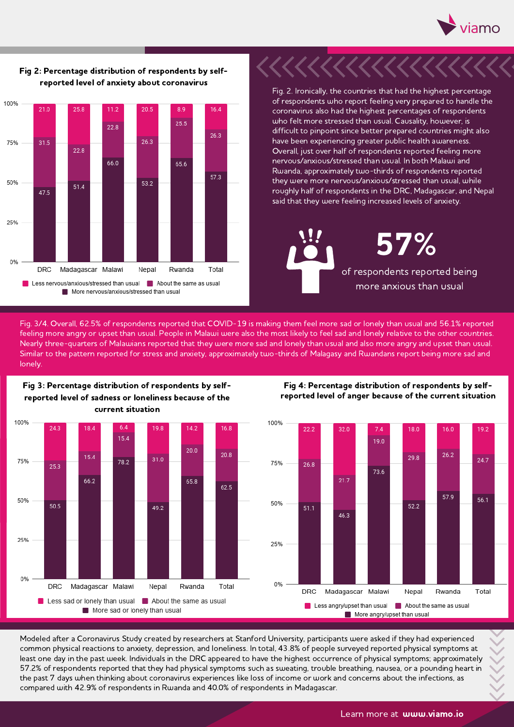



### Fig 2: Percentage distribution of respondents by selfreported level of anxiety about coronavirus

Fig. 2. Ironically, the countries that had the highest percentage of respondents who report feeling very prepared to handle the coronavirus also had the highest percentages of respondents<br>who felt more stressed than usual. Causality, however, is difficult to pinpoint since better prepared countries might also<br>have been experiencing greater public health awareness. Overall, just over half of respondents reported feeling more nervous/anxious/stressed than usual. In both Malawi and Rwanda, approximately two-thirds of respondents reported they were more nervous/anxious/stressed than usual, while roughly half of respondents in the DRC, Madagascar, and Nepal said that they were feeling increased levels of anxiety.

of respondents reported being more anxious than usual 57%

Fig. 3/4. Overall, 62.5% of respondents reported that COVID-19 is making them feel more sad or lonely than usual and 56.1% reported rights are continuously of responsents reported that COVID 13 is making them recrimere sad or lonely than osed and sollow reported<br>Feeling more angry or upset than usual. People in Malawi were also the most likely to feel Nearly three-quarters of Malawians reported that they were more sad and lonely than usual and also more angry and upset than usual.<br>Similar to the pattern reported for stress and anxiety, approximately two-thirds of Malaga lonely.



Fig 3: Percentage distribution of respondents by selfreported level of sadness or loneliness because of the





Modeled after <sup>a</sup> Coronavirus Study created by researchers at Stanford University, participants were asked if they had experienced common physical reactions to anxiety, depression, and loneliness. In total, 43.8% of people surveyed reported physical symptoms at least one day in the past week. Individuals in the DRC appeared to have the highest occurrence of physical symptoms; approximately 57.2% of respondents reported that they had physical symptoms such as sweating, trouble breathing, nausea, or <sup>a</sup> pounding heart in the past <sup>7</sup> days when thinking about coronavirus experiences like loss of income or work and concerns about the infections, as compared with 42.9% of respondents in Rwanda and 40.0% of respondents in Madagascar.